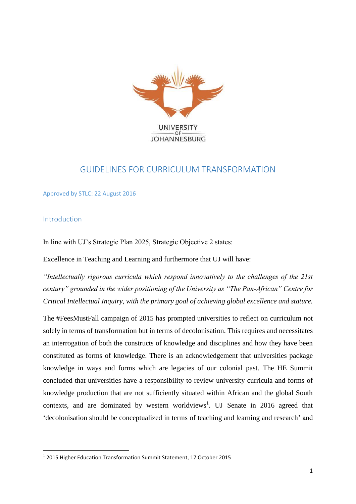

# GUIDELINES FOR CURRICULUM TRANSFORMATION

Approved by STLC: 22 August 2016

# Introduction

**.** 

In line with UJ's Strategic Plan 2025, Strategic Objective 2 states:

Excellence in Teaching and Learning and furthermore that UJ will have:

*"Intellectually rigorous curricula which respond innovatively to the challenges of the 21st century" grounded in the wider positioning of the University as "The Pan-African" Centre for Critical Intellectual Inquiry, with the primary goal of achieving global excellence and stature.*

The #FeesMustFall campaign of 2015 has prompted universities to reflect on curriculum not solely in terms of transformation but in terms of decolonisation. This requires and necessitates an interrogation of both the constructs of knowledge and disciplines and how they have been constituted as forms of knowledge. There is an acknowledgement that universities package knowledge in ways and forms which are legacies of our colonial past. The HE Summit concluded that universities have a responsibility to review university curricula and forms of knowledge production that are not sufficiently situated within African and the global South contexts, and are dominated by western worldviews<sup>1</sup>. UJ Senate in 2016 agreed that 'decolonisation should be conceptualized in terms of teaching and learning and research' and

<sup>1</sup> 2015 Higher Education Transformation Summit Statement, 17 October 2015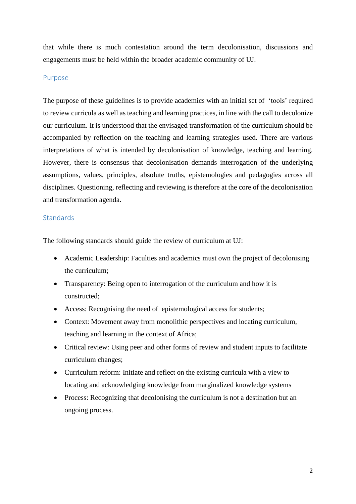that while there is much contestation around the term decolonisation, discussions and engagements must be held within the broader academic community of UJ.

#### Purpose

The purpose of these guidelines is to provide academics with an initial set of 'tools' required to review curricula as well as teaching and learning practices, in line with the call to decolonize our curriculum. It is understood that the envisaged transformation of the curriculum should be accompanied by reflection on the teaching and learning strategies used. There are various interpretations of what is intended by decolonisation of knowledge, teaching and learning. However, there is consensus that decolonisation demands interrogation of the underlying assumptions, values, principles, absolute truths, epistemologies and pedagogies across all disciplines. Questioning, reflecting and reviewing is therefore at the core of the decolonisation and transformation agenda.

### **Standards**

The following standards should guide the review of curriculum at UJ:

- Academic Leadership: Faculties and academics must own the project of decolonising the curriculum;
- Transparency: Being open to interrogation of the curriculum and how it is constructed;
- Access: Recognising the need of epistemological access for students;
- Context: Movement away from monolithic perspectives and locating curriculum, teaching and learning in the context of Africa;
- Critical review: Using peer and other forms of review and student inputs to facilitate curriculum changes;
- Curriculum reform: Initiate and reflect on the existing curricula with a view to locating and acknowledging knowledge from marginalized knowledge systems
- Process: Recognizing that decolonising the curriculum is not a destination but an ongoing process.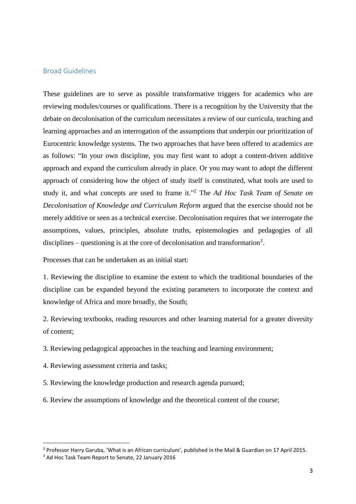#### Broad Guidelines

These guidelines are to serve as possible transformative triggers for academics who are reviewing modules/courses or qualifications. There is a recognition by the University that the debate on decolonisation of the curriculum necessitates a review of our curricula, teaching and learning approaches and an interrogation of the assumptions that underpin our prioritization of Eurocentric knowledge systems. The two approaches that have been offered to academics are as follows: "In your own discipline, you may first want to adopt a content-driven additive approach and expand the curriculum already in place. Or you may want to adopt the different approach of considering how the object of study itself is constituted, what tools are used to study it, and what concepts are used to frame it." <sup>2</sup> The *Ad Hoc Task Team of Senate on Decolonisation of Knowledge and Curriculum Reform* argued that the exercise should not be merely additive or seen as a technical exercise. Decolonisation requires that we interrogate the assumptions, values, principles, absolute truths, epistemologies and pedagogies of all disciplines – questioning is at the core of decolonisation and transformation<sup>3</sup>.

Processes that can be undertaken as an initial start:

1. Reviewing the discipline to examine the extent to which the traditional boundaries of the discipline can be expanded beyond the existing parameters to incorporate the context and knowledge of Africa and more broadly, the South;

2. Reviewing textbooks, reading resources and other learning material for a greater diversity of content;

- 3. Reviewing pedagogical approaches in the teaching and learning environment;
- 4. Reviewing assessment criteria and tasks;
- 5. Reviewing the knowledge production and research agenda pursued;
- 6. Review the assumptions of knowledge and the theoretical content of the course;

1

<sup>2</sup> Professor Harry Garuba, 'What is an African curriculum', published in the Mail & Guardian on 17 April 2015.

<sup>&</sup>lt;sup>3</sup> Ad Hoc Task Team Report to Senate, 22 January 2016